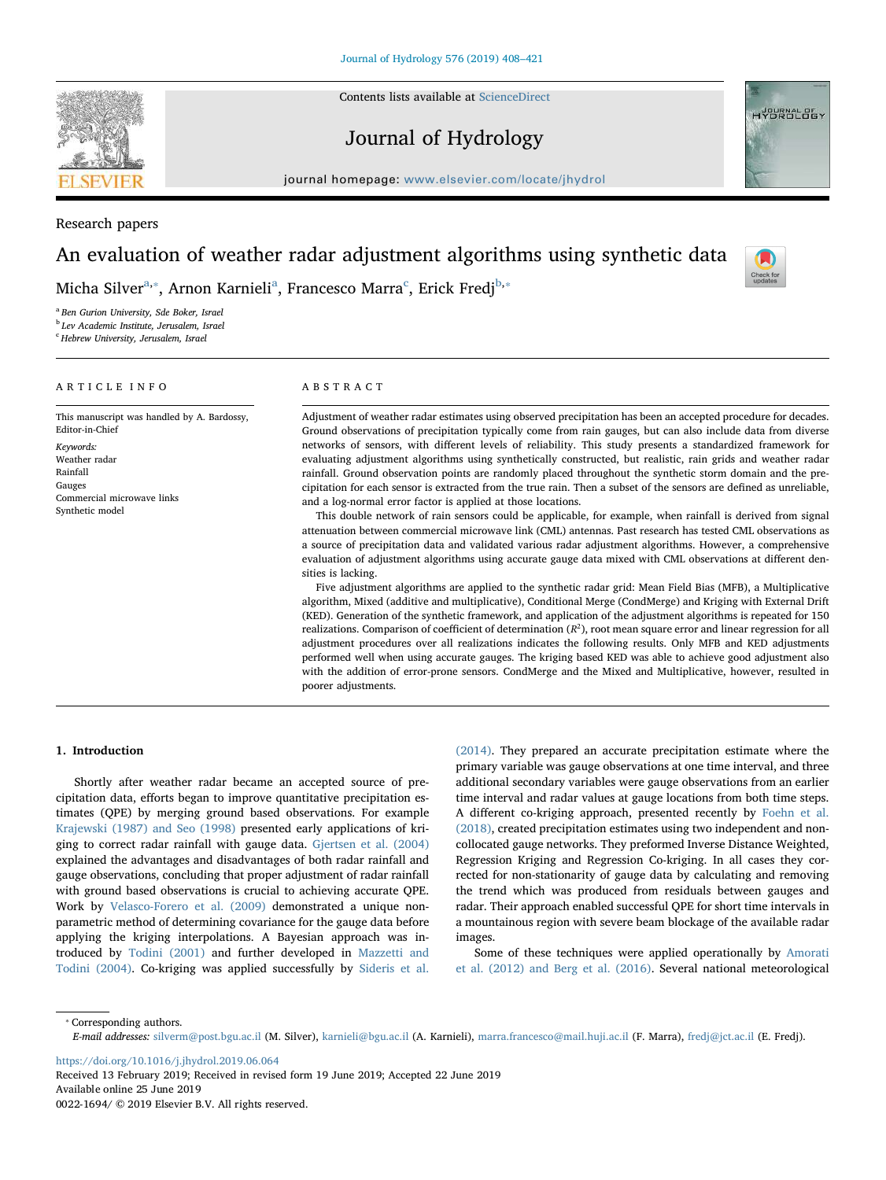Contents lists available at [ScienceDirect](http://www.sciencedirect.com/science/journal/00221694)

# Journal of Hydrology



## Research papers

## An evaluation of weather radar adjustment algorithms using synthetic data

Mich[a](#page-0-0) Silver $\mathrm{a}_*$ , Arnon Karnieli $\mathrm{a}_*$  Fran[c](#page-0-2)esco Marra $\mathrm{c}_*$  Erick Fredj $\mathrm{^{b,*}}$  $\mathrm{^{b,*}}$  $\mathrm{^{b,*}}$ 

<span id="page-0-0"></span><sup>a</sup> Ben Gurion University, Sde Boker, Israel

<span id="page-0-3"></span><sup>b</sup> Lev Academic Institute, Jerusalem, Israel

<span id="page-0-2"></span><sup>c</sup> Hebrew University, Jerusalem, Israel

## ARTICLE INFO

This manuscript was handled by A. Bardossy, Editor-in-Chief Keywords: Weather radar Rainfall Gauges Commercial microwave links Synthetic model

## ABSTRACT

Adjustment of weather radar estimates using observed precipitation has been an accepted procedure for decades. Ground observations of precipitation typically come from rain gauges, but can also include data from diverse networks of sensors, with different levels of reliability. This study presents a standardized framework for evaluating adjustment algorithms using synthetically constructed, but realistic, rain grids and weather radar rainfall. Ground observation points are randomly placed throughout the synthetic storm domain and the precipitation for each sensor is extracted from the true rain. Then a subset of the sensors are defined as unreliable, and a log-normal error factor is applied at those locations.

This double network of rain sensors could be applicable, for example, when rainfall is derived from signal attenuation between commercial microwave link (CML) antennas. Past research has tested CML observations as a source of precipitation data and validated various radar adjustment algorithms. However, a comprehensive evaluation of adjustment algorithms using accurate gauge data mixed with CML observations at different densities is lacking.

Five adjustment algorithms are applied to the synthetic radar grid: Mean Field Bias (MFB), a Multiplicative algorithm, Mixed (additive and multiplicative), Conditional Merge (CondMerge) and Kriging with External Drift (KED). Generation of the synthetic framework, and application of the adjustment algorithms is repeated for 150 realizations. Comparison of coefficient of determination (*R*<sup>2</sup>), root mean square error and linear regression for all adjustment procedures over all realizations indicates the following results. Only MFB and KED adjustments performed well when using accurate gauges. The kriging based KED was able to achieve good adjustment also with the addition of error-prone sensors. CondMerge and the Mixed and Multiplicative, however, resulted in poorer adjustments.

### <span id="page-0-4"></span>1. Introduction

Shortly after weather radar became an accepted source of precipitation data, efforts began to improve quantitative precipitation estimates (QPE) by merging ground based observations. For example [Krajewski \(1987\) and Seo \(1998\)](#page-13-0) presented early applications of kriging to correct radar rainfall with gauge data. [Gjertsen et al. \(2004\)](#page-12-0) explained the advantages and disadvantages of both radar rainfall and gauge observations, concluding that proper adjustment of radar rainfall with ground based observations is crucial to achieving accurate QPE. Work by [Velasco-Forero et al. \(2009\)](#page-13-1) demonstrated a unique nonparametric method of determining covariance for the gauge data before applying the kriging interpolations. A Bayesian approach was introduced by [Todini \(2001\)](#page-13-2) and further developed in [Mazzetti and](#page-13-3) [Todini \(2004\).](#page-13-3) Co-kriging was applied successfully by [Sideris et al.](#page-13-4)

[\(2014\).](#page-13-4) They prepared an accurate precipitation estimate where the primary variable was gauge observations at one time interval, and three additional secondary variables were gauge observations from an earlier time interval and radar values at gauge locations from both time steps. A different co-kriging approach, presented recently by [Foehn et al.](#page-12-1) [\(2018\),](#page-12-1) created precipitation estimates using two independent and noncollocated gauge networks. They preformed Inverse Distance Weighted, Regression Kriging and Regression Co-kriging. In all cases they corrected for non-stationarity of gauge data by calculating and removing the trend which was produced from residuals between gauges and radar. Their approach enabled successful QPE for short time intervals in a mountainous region with severe beam blockage of the available radar images.

Some of these techniques were applied operationally by [Amorati](#page-12-2) [et al. \(2012\) and Berg et al. \(2016\)](#page-12-2). Several national meteorological

<span id="page-0-1"></span>⁎ Corresponding authors.

<https://doi.org/10.1016/j.jhydrol.2019.06.064>

Received 13 February 2019; Received in revised form 19 June 2019; Accepted 22 June 2019 Available online 25 June 2019 0022-1694/ © 2019 Elsevier B.V. All rights reserved.





Check fo<br>updates

E-mail addresses: [silverm@post.bgu.ac.il](mailto:silverm@post.bgu.ac.il) (M. Silver), [karnieli@bgu.ac.il](mailto:karnieli@bgu.ac.il) (A. Karnieli), [marra.francesco@mail.huji.ac.il](mailto:marra.francesco@mail.huji.ac.il) (F. Marra), [fredj@jct.ac.il](mailto:fredj@jct.ac.il) (E. Fredj).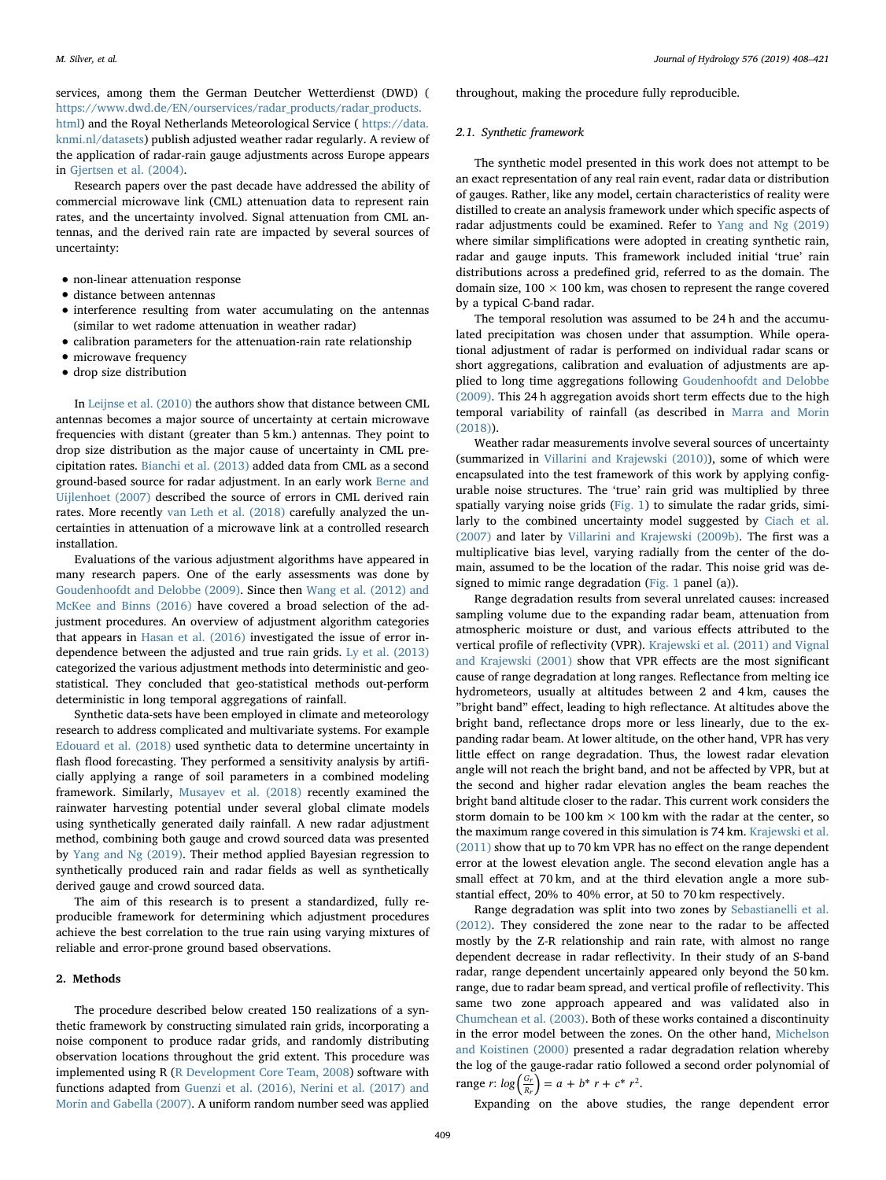services, among them the German Deutcher Wetterdienst (DWD) ( [https://www.dwd.de/EN/ourservices/radar\\_products/radar\\_products.](https://www.dwd.de/EN/ourservices/radar_products/radar_products.html) [html](https://www.dwd.de/EN/ourservices/radar_products/radar_products.html)) and the Royal Netherlands Meteorological Service ( [https://data.](https://data.knmi.nl/datasets) [knmi.nl/datasets\)](https://data.knmi.nl/datasets) publish adjusted weather radar regularly. A review of the application of radar-rain gauge adjustments across Europe appears in [Gjertsen et al. \(2004\).](#page-12-0)

Research papers over the past decade have addressed the ability of commercial microwave link (CML) attenuation data to represent rain rates, and the uncertainty involved. Signal attenuation from CML antennas, and the derived rain rate are impacted by several sources of uncertainty:

- non-linear attenuation response
- distance between antennas
- interference resulting from water accumulating on the antennas (similar to wet radome attenuation in weather radar)
- calibration parameters for the attenuation-rain rate relationship
- microwave frequency
- drop size distribution

In [Leijnse et al. \(2010\)](#page-13-5) the authors show that distance between CML antennas becomes a major source of uncertainty at certain microwave frequencies with distant (greater than 5 km.) antennas. They point to drop size distribution as the major cause of uncertainty in CML precipitation rates. [Bianchi et al. \(2013\)](#page-12-3) added data from CML as a second ground-based source for radar adjustment. In an early work [Berne and](#page-12-4) [Uijlenhoet \(2007\)](#page-12-4) described the source of errors in CML derived rain rates. More recently [van Leth et al. \(2018\)](#page-13-6) carefully analyzed the uncertainties in attenuation of a microwave link at a controlled research installation.

Evaluations of the various adjustment algorithms have appeared in many research papers. One of the early assessments was done by [Goudenhoofdt and Delobbe \(2009\).](#page-12-5) Since then [Wang et al. \(2012\) and](#page-13-7) [McKee and Binns \(2016\)](#page-13-7) have covered a broad selection of the adjustment procedures. An overview of adjustment algorithm categories that appears in [Hasan et al. \(2016\)](#page-13-8) investigated the issue of error independence between the adjusted and true rain grids. [Ly et al. \(2013\)](#page-13-9) categorized the various adjustment methods into deterministic and geostatistical. They concluded that geo-statistical methods out-perform deterministic in long temporal aggregations of rainfall.

Synthetic data-sets have been employed in climate and meteorology research to address complicated and multivariate systems. For example [Edouard et al. \(2018\)](#page-12-6) used synthetic data to determine uncertainty in flash flood forecasting. They performed a sensitivity analysis by artificially applying a range of soil parameters in a combined modeling framework. Similarly, [Musayev et al. \(2018\)](#page-13-10) recently examined the rainwater harvesting potential under several global climate models using synthetically generated daily rainfall. A new radar adjustment method, combining both gauge and crowd sourced data was presented by [Yang and Ng \(2019\).](#page-13-11) Their method applied Bayesian regression to synthetically produced rain and radar fields as well as synthetically derived gauge and crowd sourced data.

The aim of this research is to present a standardized, fully reproducible framework for determining which adjustment procedures achieve the best correlation to the true rain using varying mixtures of reliable and error-prone ground based observations.

#### 2. Methods

The procedure described below created 150 realizations of a synthetic framework by constructing simulated rain grids, incorporating a noise component to produce radar grids, and randomly distributing observation locations throughout the grid extent. This procedure was implemented using R ([R Development Core Team, 2008\)](#page-13-12) software with functions adapted from [Guenzi et al. \(2016\), Nerini et al. \(2017\) and](#page-12-7) [Morin and Gabella \(2007\).](#page-12-7) A uniform random number seed was applied

throughout, making the procedure fully reproducible.

#### <span id="page-1-0"></span>2.1. Synthetic framework

The synthetic model presented in this work does not attempt to be an exact representation of any real rain event, radar data or distribution of gauges. Rather, like any model, certain characteristics of reality were distilled to create an analysis framework under which specific aspects of radar adjustments could be examined. Refer to [Yang and Ng \(2019\)](#page-13-11) where similar simplifications were adopted in creating synthetic rain, radar and gauge inputs. This framework included initial 'true' rain distributions across a predefined grid, referred to as the domain. The domain size,  $100 \times 100$  km, was chosen to represent the range covered by a typical C-band radar.

The temporal resolution was assumed to be 24 h and the accumulated precipitation was chosen under that assumption. While operational adjustment of radar is performed on individual radar scans or short aggregations, calibration and evaluation of adjustments are applied to long time aggregations following [Goudenhoofdt and Delobbe](#page-12-5) [\(2009\).](#page-12-5) This 24 h aggregation avoids short term effects due to the high temporal variability of rainfall (as described in [Marra and Morin](#page-13-13) [\(2018\)\)](#page-13-13).

Weather radar measurements involve several sources of uncertainty (summarized in [Villarini and Krajewski \(2010\)\)](#page-13-14), some of which were encapsulated into the test framework of this work by applying configurable noise structures. The 'true' rain grid was multiplied by three spatially varying noise grids [\(Fig. 1\)](#page-2-0) to simulate the radar grids, similarly to the combined uncertainty model suggested by [Ciach et al.](#page-12-8) [\(2007\)](#page-12-8) and later by [Villarini and Krajewski \(2009b\)](#page-13-15). The first was a multiplicative bias level, varying radially from the center of the domain, assumed to be the location of the radar. This noise grid was designed to mimic range degradation ([Fig. 1](#page-2-0) panel (a)).

Range degradation results from several unrelated causes: increased sampling volume due to the expanding radar beam, attenuation from atmospheric moisture or dust, and various effects attributed to the vertical profile of reflectivity (VPR). [Krajewski et al. \(2011\) and Vignal](#page-13-16) [and Krajewski \(2001\)](#page-13-16) show that VPR effects are the most significant cause of range degradation at long ranges. Reflectance from melting ice hydrometeors, usually at altitudes between 2 and 4 km, causes the "bright band" effect, leading to high reflectance. At altitudes above the bright band, reflectance drops more or less linearly, due to the expanding radar beam. At lower altitude, on the other hand, VPR has very little effect on range degradation. Thus, the lowest radar elevation angle will not reach the bright band, and not be affected by VPR, but at the second and higher radar elevation angles the beam reaches the bright band altitude closer to the radar. This current work considers the storm domain to be 100 km  $\times$  100 km with the radar at the center, so the maximum range covered in this simulation is 74 km. [Krajewski et al.](#page-13-16) [\(2011\)](#page-13-16) show that up to 70 km VPR has no effect on the range dependent error at the lowest elevation angle. The second elevation angle has a small effect at 70 km, and at the third elevation angle a more substantial effect, 20% to 40% error, at 50 to 70 km respectively.

Range degradation was split into two zones by [Sebastianelli et al.](#page-13-17) [\(2012\).](#page-13-17) They considered the zone near to the radar to be affected mostly by the Z-R relationship and rain rate, with almost no range dependent decrease in radar reflectivity. In their study of an S-band radar, range dependent uncertainly appeared only beyond the 50 km. range, due to radar beam spread, and vertical profile of reflectivity. This same two zone approach appeared and was validated also in [Chumchean et al. \(2003\).](#page-12-9) Both of these works contained a discontinuity in the error model between the zones. On the other hand, [Michelson](#page-13-18) [and Koistinen \(2000\)](#page-13-18) presented a radar degradation relation whereby the log of the gauge-radar ratio followed a second order polynomial of range *r*:  $log\left(\frac{G_r}{R_r}\right) = a + b^* r + c^* r^2$ .

Expanding on the above studies, the range dependent error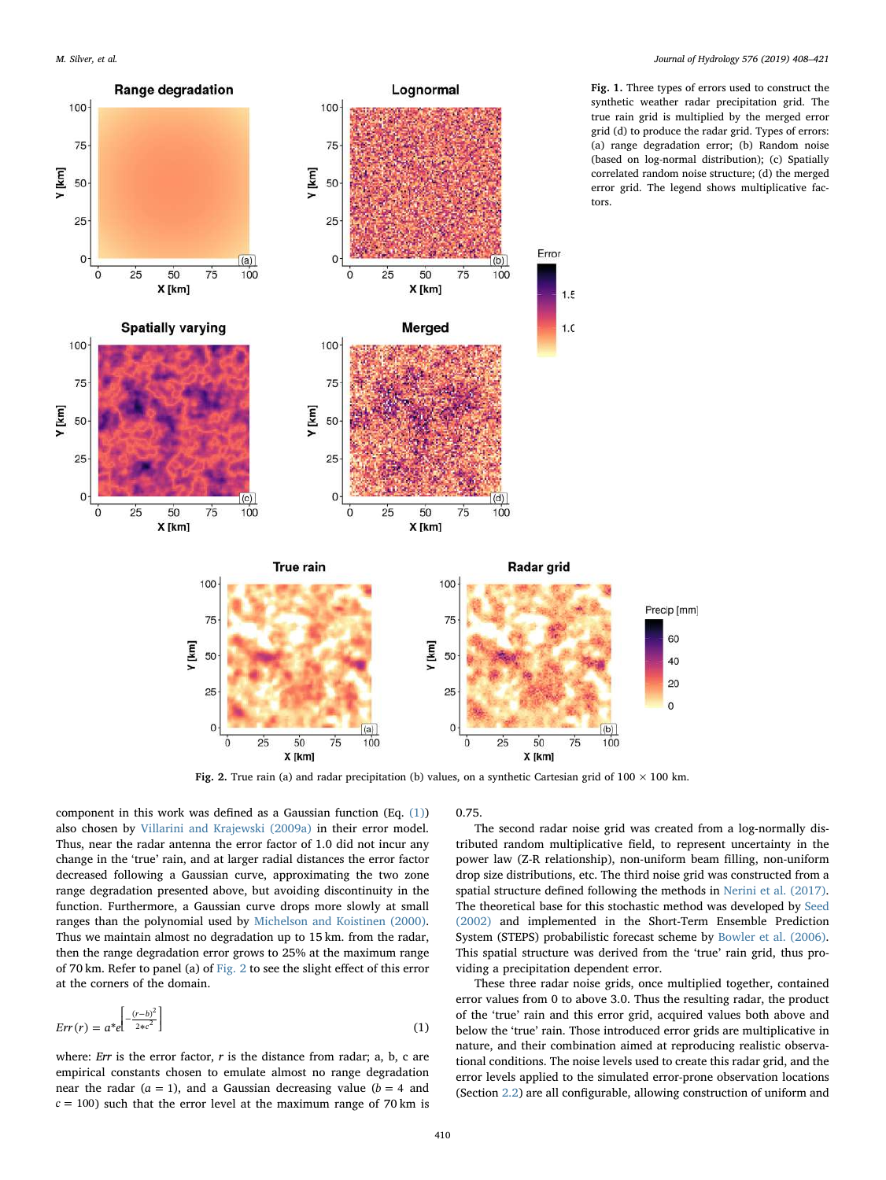Y [km]

<span id="page-2-2"></span>Y [km]

<span id="page-2-0"></span>

Fig. 1. Three types of errors used to construct the synthetic weather radar precipitation grid. The true rain grid is multiplied by the merged error grid (d) to produce the radar grid. Types of errors: (a) range degradation error; (b) Random noise (based on log-normal distribution); (c) Spatially correlated random noise structure; (d) the merged error grid. The legend shows multiplicative fac-

Fig. 2. True rain (a) and radar precipitation (b) values, on a synthetic Cartesian grid of  $100 \times 100$  km.

component in this work was defined as a Gaussian function  $(Eq. (1))$  $(Eq. (1))$ also chosen by [Villarini and Krajewski \(2009a\)](#page-13-19) in their error model. Thus, near the radar antenna the error factor of 1.0 did not incur any change in the 'true' rain, and at larger radial distances the error factor decreased following a Gaussian curve, approximating the two zone range degradation presented above, but avoiding discontinuity in the function. Furthermore, a Gaussian curve drops more slowly at small ranges than the polynomial used by [Michelson and Koistinen \(2000\)](#page-13-18). Thus we maintain almost no degradation up to 15 km. from the radar, then the range degradation error grows to 25% at the maximum range of 70 km. Refer to panel (a) of [Fig. 2](#page-2-2) to see the slight effect of this error at the corners of the domain.

<span id="page-2-1"></span>
$$
Err(r) = a^*e^{\left[-\frac{(r-b)^2}{2*c^2}\right]}
$$
\n<sup>(1)</sup>

where: Err is the error factor,  $r$  is the distance from radar; a, b, c are empirical constants chosen to emulate almost no range degradation near the radar  $(a = 1)$ , and a Gaussian decreasing value  $(b = 4$  and  $c = 100$ ) such that the error level at the maximum range of 70 km is 0.75.

The second radar noise grid was created from a log-normally distributed random multiplicative field, to represent uncertainty in the power law (Z-R relationship), non-uniform beam filling, non-uniform drop size distributions, etc. The third noise grid was constructed from a spatial structure defined following the methods in [Nerini et al. \(2017\)](#page-13-20). The theoretical base for this stochastic method was developed by [Seed](#page-13-21) [\(2002\)](#page-13-21) and implemented in the Short-Term Ensemble Prediction System (STEPS) probabilistic forecast scheme by [Bowler et al. \(2006\)](#page-12-10). This spatial structure was derived from the 'true' rain grid, thus providing a precipitation dependent error.

60

40 20

 $\overline{0}$ 

These three radar noise grids, once multiplied together, contained error values from 0 to above 3.0. Thus the resulting radar, the product of the 'true' rain and this error grid, acquired values both above and below the 'true' rain. Those introduced error grids are multiplicative in nature, and their combination aimed at reproducing realistic observational conditions. The noise levels used to create this radar grid, and the error levels applied to the simulated error-prone observation locations (Section [2.2\)](#page-3-0) are all configurable, allowing construction of uniform and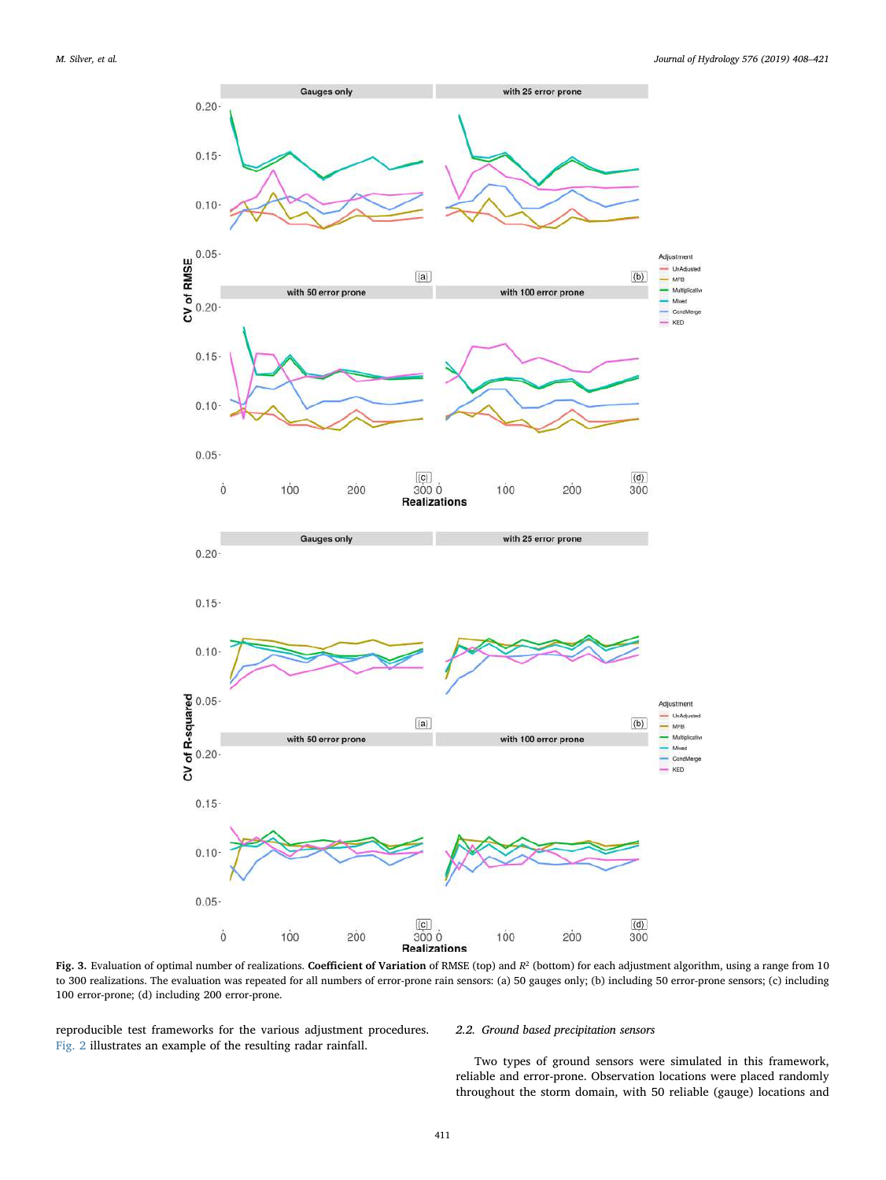<span id="page-3-1"></span>

Fig. 3. Evaluation of optimal number of realizations. Coefficient of Variation of RMSE (top) and  $R^2$  (bottom) for each adjustment algorithm, using a range from 10 to 300 realizations. The evaluation was repeated for all numbers of error-prone rain sensors: (a) 50 gauges only; (b) including 50 error-prone sensors; (c) including 100 error-prone; (d) including 200 error-prone.

reproducible test frameworks for the various adjustment procedures. [Fig. 2](#page-2-2) illustrates an example of the resulting radar rainfall.

#### <span id="page-3-0"></span>2.2. Ground based precipitation sensors

Two types of ground sensors were simulated in this framework, reliable and error-prone. Observation locations were placed randomly throughout the storm domain, with 50 reliable (gauge) locations and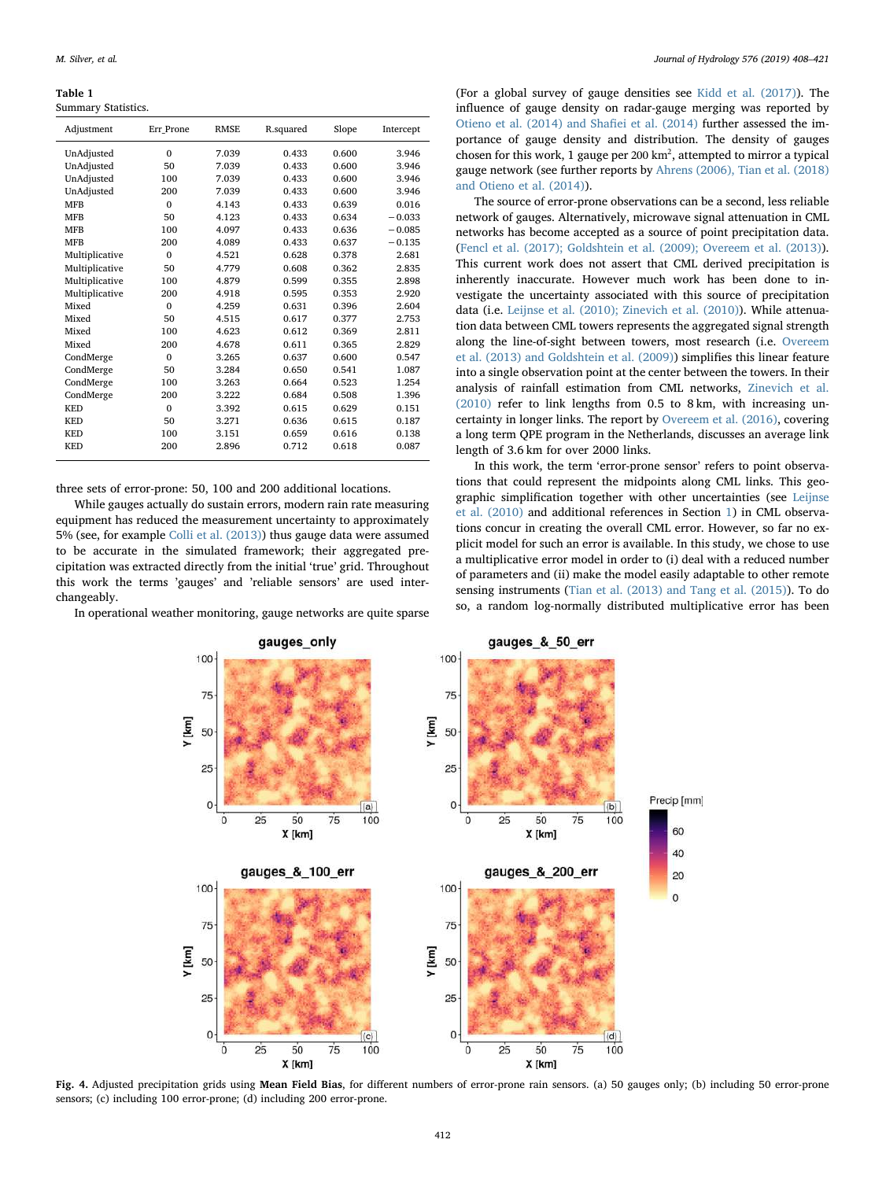<span id="page-4-0"></span>Table 1 Summary Statistics.

| Adjustment     | Err Prone | <b>RMSE</b> | R.squared | Slope | Intercept |
|----------------|-----------|-------------|-----------|-------|-----------|
| UnAdjusted     | $\Omega$  | 7.039       | 0.433     | 0.600 | 3.946     |
| UnAdjusted     | 50        | 7.039       | 0.433     | 0.600 | 3.946     |
| UnAdjusted     | 100       | 7.039       | 0.433     | 0.600 | 3.946     |
| UnAdjusted     | 200       | 7.039       | 0.433     | 0.600 | 3.946     |
| <b>MFB</b>     | $\Omega$  | 4.143       | 0.433     | 0.639 | 0.016     |
| <b>MFB</b>     | 50        | 4.123       | 0.433     | 0.634 | $-0.033$  |
| <b>MFB</b>     | 100       | 4.097       | 0.433     | 0.636 | $-0.085$  |
| <b>MFB</b>     | 200       | 4.089       | 0.433     | 0.637 | $-0.135$  |
| Multiplicative | $\Omega$  | 4.521       | 0.628     | 0.378 | 2.681     |
| Multiplicative | 50        | 4.779       | 0.608     | 0.362 | 2.835     |
| Multiplicative | 100       | 4.879       | 0.599     | 0.355 | 2.898     |
| Multiplicative | 200       | 4.918       | 0.595     | 0.353 | 2.920     |
| Mixed          | $\Omega$  | 4.259       | 0.631     | 0.396 | 2.604     |
| Mixed          | 50        | 4.515       | 0.617     | 0.377 | 2.753     |
| Mixed          | 100       | 4.623       | 0.612     | 0.369 | 2.811     |
| Mixed          | 200       | 4.678       | 0.611     | 0.365 | 2.829     |
| CondMerge      | $\Omega$  | 3.265       | 0.637     | 0.600 | 0.547     |
| CondMerge      | 50        | 3.284       | 0.650     | 0.541 | 1.087     |
| CondMerge      | 100       | 3.263       | 0.664     | 0.523 | 1.254     |
| CondMerge      | 200       | 3.222       | 0.684     | 0.508 | 1.396     |
| <b>KED</b>     | $\Omega$  | 3.392       | 0.615     | 0.629 | 0.151     |
| <b>KED</b>     | 50        | 3.271       | 0.636     | 0.615 | 0.187     |
| <b>KED</b>     | 100       | 3.151       | 0.659     | 0.616 | 0.138     |
| <b>KED</b>     | 200       | 2.896       | 0.712     | 0.618 | 0.087     |
|                |           |             |           |       |           |

three sets of error-prone: 50, 100 and 200 additional locations.

While gauges actually do sustain errors, modern rain rate measuring equipment has reduced the measurement uncertainty to approximately 5% (see, for example [Colli et al. \(2013\)](#page-12-11)) thus gauge data were assumed to be accurate in the simulated framework; their aggregated precipitation was extracted directly from the initial 'true' grid. Throughout this work the terms 'gauges' and 'reliable sensors' are used interchangeably.

<span id="page-4-1"></span>In operational weather monitoring, gauge networks are quite sparse

(For a global survey of gauge densities see [Kidd et al. \(2017\)\)](#page-13-22). The influence of gauge density on radar-gauge merging was reported by [Otieno et al. \(2014\) and Sha](#page-13-23)fiei et al. (2014) further assessed the importance of gauge density and distribution. The density of gauges chosen for this work, 1 gauge per 200  $km^2$ , attempted to mirror a typical gauge network (see further reports by [Ahrens \(2006\), Tian et al. \(2018\)](#page-12-12) [and Otieno et al. \(2014\)](#page-12-12)).

The source of error-prone observations can be a second, less reliable network of gauges. Alternatively, microwave signal attenuation in CML networks has become accepted as a source of point precipitation data. ([Fencl et al. \(2017\); Goldshtein et al. \(2009\); Overeem et al. \(2013\)](#page-12-13)). This current work does not assert that CML derived precipitation is inherently inaccurate. However much work has been done to investigate the uncertainty associated with this source of precipitation data (i.e. [Leijnse et al. \(2010\); Zinevich et al. \(2010\)\)](#page-13-5). While attenuation data between CML towers represents the aggregated signal strength along the line-of-sight between towers, most research (i.e. [Overeem](#page-13-24) [et al. \(2013\) and Goldshtein et al. \(2009\)](#page-13-24)) simplifies this linear feature into a single observation point at the center between the towers. In their analysis of rainfall estimation from CML networks, [Zinevich et al.](#page-13-25) [\(2010\)](#page-13-25) refer to link lengths from 0.5 to 8 km, with increasing uncertainty in longer links. The report by [Overeem et al. \(2016\),](#page-13-26) covering a long term QPE program in the Netherlands, discusses an average link length of 3.6 km for over 2000 links.

In this work, the term 'error-prone sensor' refers to point observations that could represent the midpoints along CML links. This geographic simplification together with other uncertainties (see [Leijnse](#page-13-5) [et al. \(2010\)](#page-13-5) and additional references in Section [1](#page-0-4)) in CML observations concur in creating the overall CML error. However, so far no explicit model for such an error is available. In this study, we chose to use a multiplicative error model in order to (i) deal with a reduced number of parameters and (ii) make the model easily adaptable to other remote sensing instruments [\(Tian et al. \(2013\) and Tang et al. \(2015\)](#page-13-27)). To do so, a random log-normally distributed multiplicative error has been



Fig. 4. Adjusted precipitation grids using Mean Field Bias, for different numbers of error-prone rain sensors. (a) 50 gauges only; (b) including 50 error-prone sensors; (c) including 100 error-prone; (d) including 200 error-prone.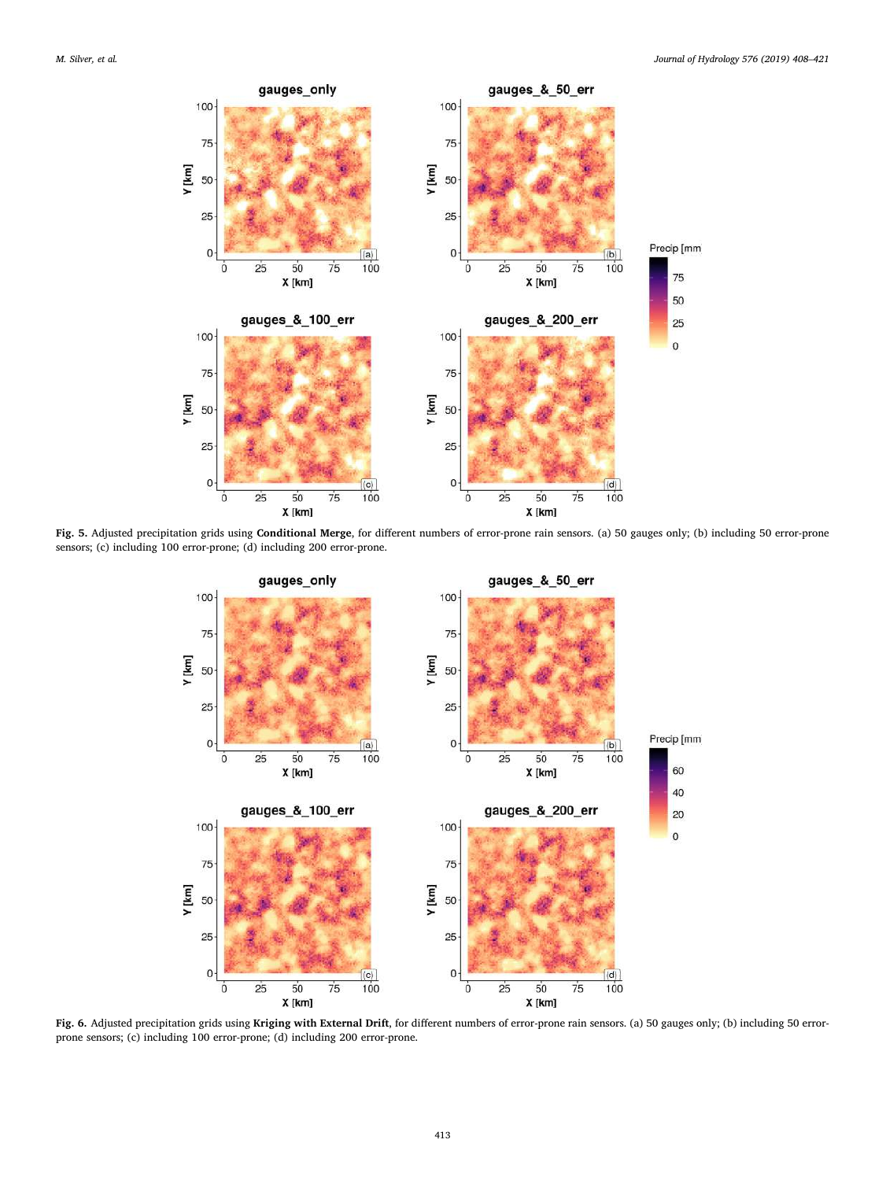

Fig. 5. Adjusted precipitation grids using Conditional Merge, for different numbers of error-prone rain sensors. (a) 50 gauges only; (b) including 50 error-prone sensors; (c) including 100 error-prone; (d) including 200 error-prone.



Fig. 6. Adjusted precipitation grids using Kriging with External Drift, for different numbers of error-prone rain sensors. (a) 50 gauges only; (b) including 50 errorprone sensors; (c) including 100 error-prone; (d) including 200 error-prone.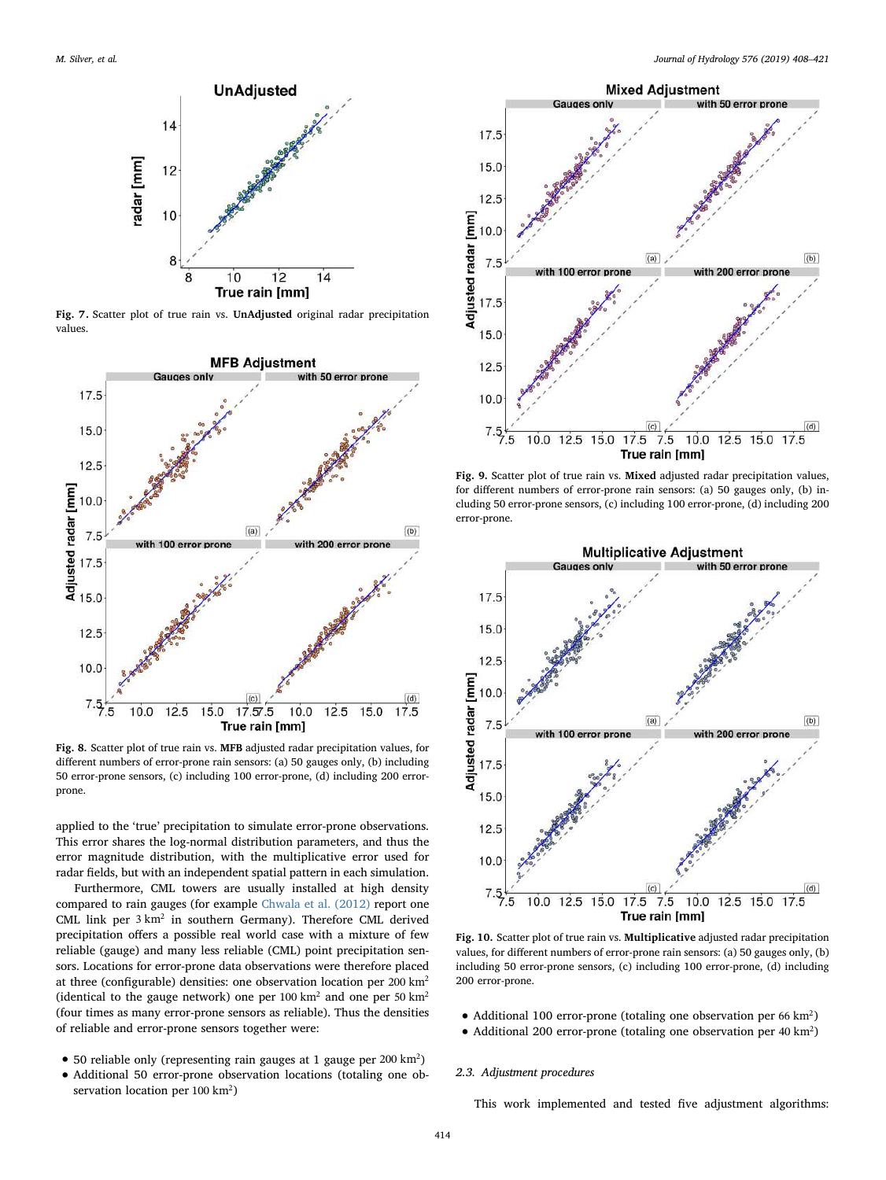<span id="page-6-1"></span>

Fig. 7. Scatter plot of true rain vs. UnAdjusted original radar precipitation values.

<span id="page-6-2"></span>

Fig. 8. Scatter plot of true rain vs. MFB adjusted radar precipitation values, for different numbers of error-prone rain sensors: (a) 50 gauges only, (b) including 50 error-prone sensors, (c) including 100 error-prone, (d) including 200 errorprone.

applied to the 'true' precipitation to simulate error-prone observations. This error shares the log-normal distribution parameters, and thus the error magnitude distribution, with the multiplicative error used for radar fields, but with an independent spatial pattern in each simulation.

Furthermore, CML towers are usually installed at high density compared to rain gauges (for example [Chwala et al. \(2012\)](#page-12-14) report one CML link per 3 km<sup>2</sup> in southern Germany). Therefore CML derived precipitation offers a possible real world case with a mixture of few reliable (gauge) and many less reliable (CML) point precipitation sensors. Locations for error-prone data observations were therefore placed at three (configurable) densities: one observation location per 200 km2 (identical to the gauge network) one per 100  $\text{km}^2$  and one per 50  $\text{km}^2$ (four times as many error-prone sensors as reliable). Thus the densities of reliable and error-prone sensors together were:

- 50 reliable only (representing rain gauges at 1 gauge per 200 km2)
- Additional 50 error-prone observation locations (totaling one observation location per 100 km2)



Fig. 9. Scatter plot of true rain vs. Mixed adjusted radar precipitation values, for different numbers of error-prone rain sensors: (a) 50 gauges only, (b) including 50 error-prone sensors, (c) including 100 error-prone, (d) including 200 error-prone.



Fig. 10. Scatter plot of true rain vs. Multiplicative adjusted radar precipitation values, for different numbers of error-prone rain sensors: (a) 50 gauges only, (b) including 50 error-prone sensors, (c) including 100 error-prone, (d) including 200 error-prone.

- Additional 100 error-prone (totaling one observation per 66 km<sup>2</sup>)
- Additional 200 error-prone (totaling one observation per 40 km2)

#### <span id="page-6-0"></span>2.3. Adjustment procedures

This work implemented and tested five adjustment algorithms: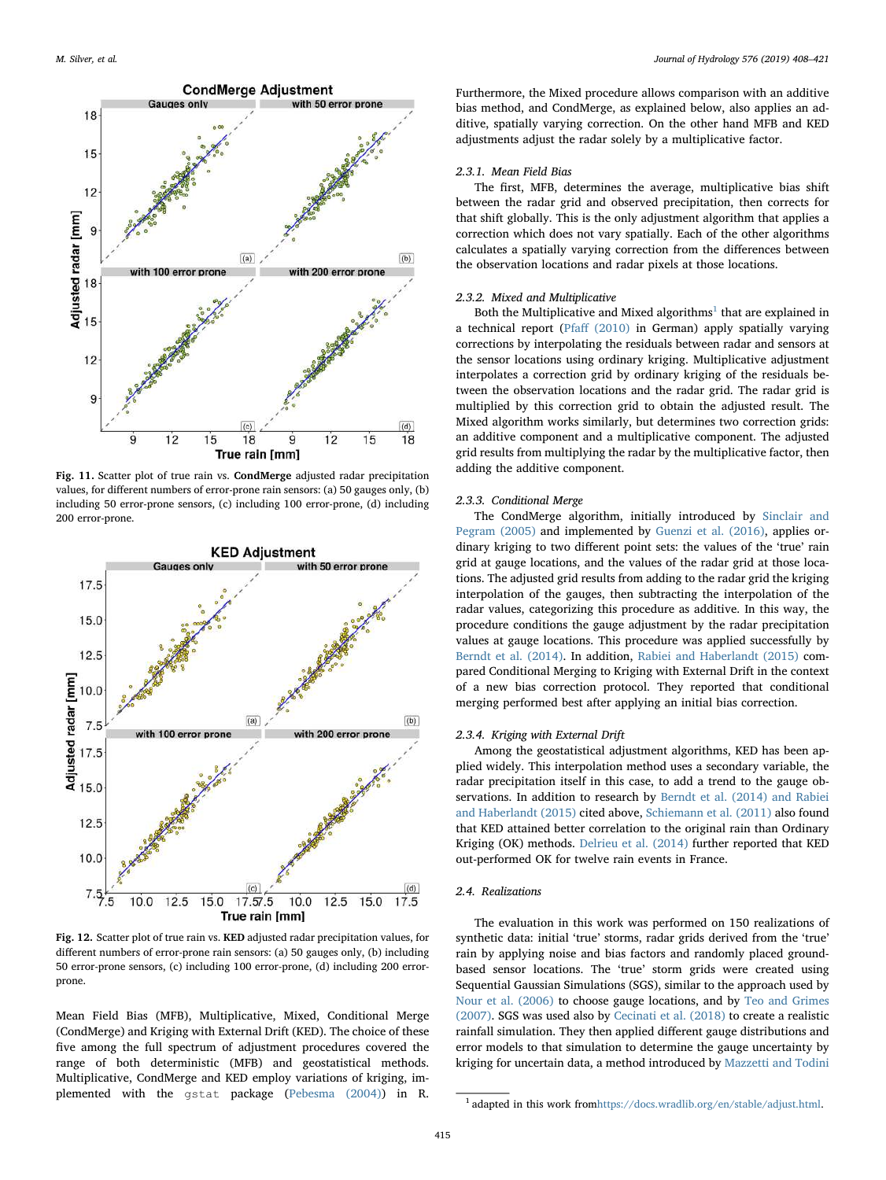

Fig. 11. Scatter plot of true rain vs. CondMerge adjusted radar precipitation values, for different numbers of error-prone rain sensors: (a) 50 gauges only, (b) including 50 error-prone sensors, (c) including 100 error-prone, (d) including 200 error-prone.

<span id="page-7-1"></span>

Fig. 12. Scatter plot of true rain vs. KED adjusted radar precipitation values, for different numbers of error-prone rain sensors: (a) 50 gauges only, (b) including 50 error-prone sensors, (c) including 100 error-prone, (d) including 200 errorprone.

Mean Field Bias (MFB), Multiplicative, Mixed, Conditional Merge (CondMerge) and Kriging with External Drift (KED). The choice of these five among the full spectrum of adjustment procedures covered the range of both deterministic (MFB) and geostatistical methods. Multiplicative, CondMerge and KED employ variations of kriging, implemented with the gstat package [\(Pebesma \(2004\)\)](#page-13-28) in R.

Furthermore, the Mixed procedure allows comparison with an additive bias method, and CondMerge, as explained below, also applies an additive, spatially varying correction. On the other hand MFB and KED adjustments adjust the radar solely by a multiplicative factor.

#### 2.3.1. Mean Field Bias

The first, MFB, determines the average, multiplicative bias shift between the radar grid and observed precipitation, then corrects for that shift globally. This is the only adjustment algorithm that applies a correction which does not vary spatially. Each of the other algorithms calculates a spatially varying correction from the differences between the observation locations and radar pixels at those locations.

#### 2.3.2. Mixed and Multiplicative

Both the Multiplicative and Mixed algorithms<sup>[1](#page-7-0)</sup> that are explained in a technical report (Pfaff [\(2010\)](#page-13-29) in German) apply spatially varying corrections by interpolating the residuals between radar and sensors at the sensor locations using ordinary kriging. Multiplicative adjustment interpolates a correction grid by ordinary kriging of the residuals between the observation locations and the radar grid. The radar grid is multiplied by this correction grid to obtain the adjusted result. The Mixed algorithm works similarly, but determines two correction grids: an additive component and a multiplicative component. The adjusted grid results from multiplying the radar by the multiplicative factor, then adding the additive component.

#### 2.3.3. Conditional Merge

The CondMerge algorithm, initially introduced by [Sinclair and](#page-13-30) [Pegram \(2005\)](#page-13-30) and implemented by [Guenzi et al. \(2016\)](#page-12-7), applies ordinary kriging to two different point sets: the values of the 'true' rain grid at gauge locations, and the values of the radar grid at those locations. The adjusted grid results from adding to the radar grid the kriging interpolation of the gauges, then subtracting the interpolation of the radar values, categorizing this procedure as additive. In this way, the procedure conditions the gauge adjustment by the radar precipitation values at gauge locations. This procedure was applied successfully by [Berndt et al. \(2014\).](#page-12-15) In addition, [Rabiei and Haberlandt \(2015\)](#page-13-31) compared Conditional Merging to Kriging with External Drift in the context of a new bias correction protocol. They reported that conditional merging performed best after applying an initial bias correction.

#### 2.3.4. Kriging with External Drift

Among the geostatistical adjustment algorithms, KED has been applied widely. This interpolation method uses a secondary variable, the radar precipitation itself in this case, to add a trend to the gauge observations. In addition to research by [Berndt et al. \(2014\) and Rabiei](#page-12-15) [and Haberlandt \(2015\)](#page-12-15) cited above, [Schiemann et al. \(2011\)](#page-13-32) also found that KED attained better correlation to the original rain than Ordinary Kriging (OK) methods. [Delrieu et al. \(2014\)](#page-12-16) further reported that KED out-performed OK for twelve rain events in France.

#### <span id="page-7-2"></span>2.4. Realizations

The evaluation in this work was performed on 150 realizations of synthetic data: initial 'true' storms, radar grids derived from the 'true' rain by applying noise and bias factors and randomly placed groundbased sensor locations. The 'true' storm grids were created using Sequential Gaussian Simulations (SGS), similar to the approach used by [Nour et al. \(2006\)](#page-13-33) to choose gauge locations, and by [Teo and Grimes](#page-13-34) [\(2007\).](#page-13-34) SGS was used also by [Cecinati et al. \(2018\)](#page-12-17) to create a realistic rainfall simulation. They then applied different gauge distributions and error models to that simulation to determine the gauge uncertainty by kriging for uncertain data, a method introduced by [Mazzetti and Todini](#page-13-35)

<span id="page-7-0"></span><sup>1</sup> adapted in this work from<https://docs.wradlib.org/en/stable/adjust.html>.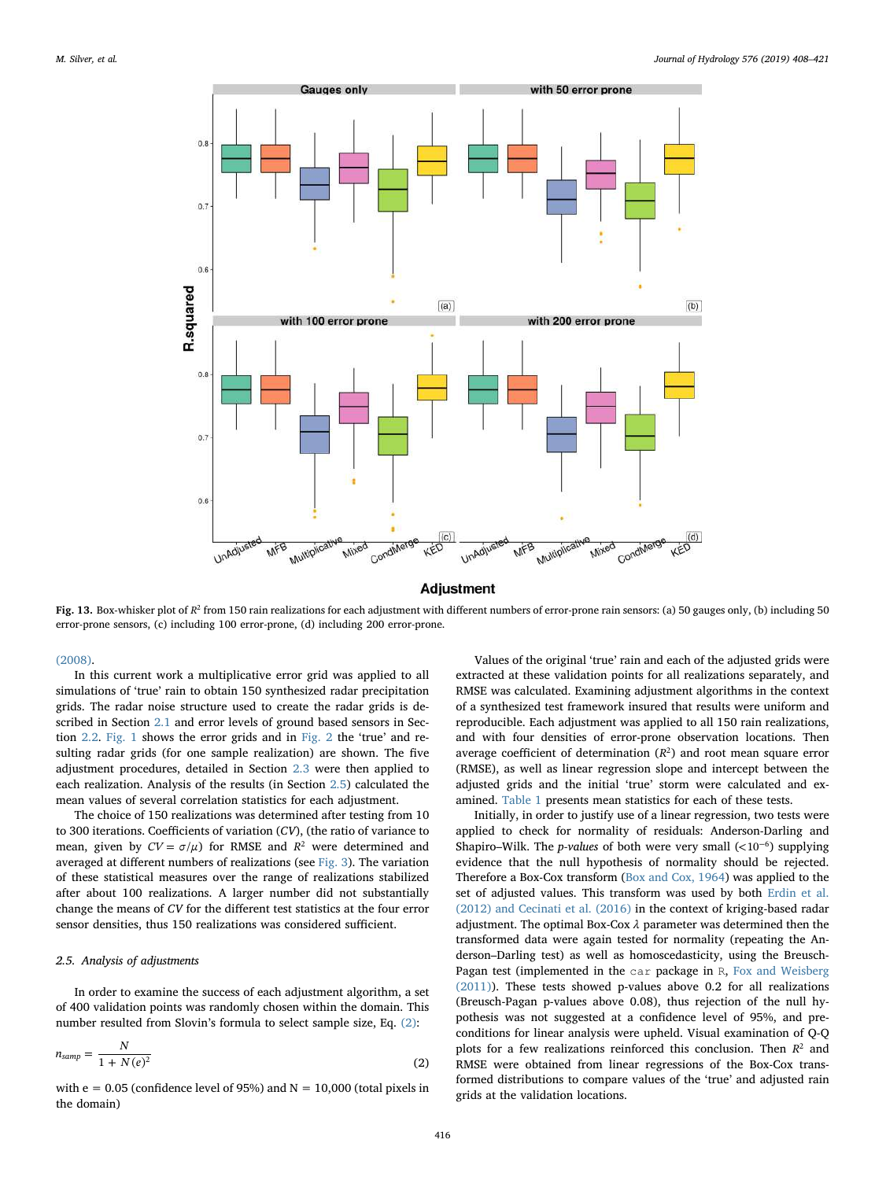<span id="page-8-2"></span>

Fig. 13. Box-whisker plot of  $R^2$  from 150 rain realizations for each adjustment with different numbers of error-prone rain sensors: (a) 50 gauges only, (b) including 50 error-prone sensors, (c) including 100 error-prone, (d) including 200 error-prone.

#### [\(2008\).](#page-13-35)

In this current work a multiplicative error grid was applied to all simulations of 'true' rain to obtain 150 synthesized radar precipitation grids. The radar noise structure used to create the radar grids is described in Section [2.1](#page-1-0) and error levels of ground based sensors in Section [2.2](#page-3-0). [Fig. 1](#page-2-0) shows the error grids and in [Fig. 2](#page-2-2) the 'true' and resulting radar grids (for one sample realization) are shown. The five adjustment procedures, detailed in Section [2.3](#page-6-0) were then applied to each realization. Analysis of the results (in Section [2.5](#page-8-0)) calculated the mean values of several correlation statistics for each adjustment.

The choice of 150 realizations was determined after testing from 10 to 300 iterations. Coefficients of variation (CV), (the ratio of variance to mean, given by  $CV = \sigma/\mu$ ) for RMSE and  $R^2$  were determined and averaged at different numbers of realizations (see [Fig. 3\)](#page-3-1). The variation of these statistical measures over the range of realizations stabilized after about 100 realizations. A larger number did not substantially change the means of CV for the different test statistics at the four error sensor densities, thus 150 realizations was considered sufficient.

#### <span id="page-8-0"></span>2.5. Analysis of adjustments

<span id="page-8-1"></span>In order to examine the success of each adjustment algorithm, a set of 400 validation points was randomly chosen within the domain. This number resulted from Slovin's formula to select sample size, Eq. [\(2\)](#page-8-1):

$$
n_{\text{samp}} = \frac{N}{1 + N(e)^2} \tag{2}
$$

with  $e = 0.05$  (confidence level of 95%) and  $N = 10,000$  (total pixels in the domain)

Values of the original 'true' rain and each of the adjusted grids were extracted at these validation points for all realizations separately, and RMSE was calculated. Examining adjustment algorithms in the context of a synthesized test framework insured that results were uniform and reproducible. Each adjustment was applied to all 150 rain realizations, and with four densities of error-prone observation locations. Then average coefficient of determination  $(R^2)$  and root mean square error (RMSE), as well as linear regression slope and intercept between the adjusted grids and the initial 'true' storm were calculated and examined. [Table 1](#page-4-0) presents mean statistics for each of these tests.

Initially, in order to justify use of a linear regression, two tests were applied to check for normality of residuals: Anderson-Darling and Shapiro–Wilk. The *p-values* of both were very small  $\left($ <10<sup>-6</sup>) supplying evidence that the null hypothesis of normality should be rejected. Therefore a Box-Cox transform ([Box and Cox, 1964\)](#page-12-18) was applied to the set of adjusted values. This transform was used by both [Erdin et al.](#page-12-19) [\(2012\) and Cecinati et al. \(2016\)](#page-12-19) in the context of kriging-based radar adjustment. The optimal Box-Cox *λ* parameter was determined then the transformed data were again tested for normality (repeating the Anderson–Darling test) as well as homoscedasticity, using the Breusch-Pagan test (implemented in the car package in R, [Fox and Weisberg](#page-12-20) [\(2011\)\)](#page-12-20). These tests showed p-values above 0.2 for all realizations (Breusch-Pagan p-values above 0.08), thus rejection of the null hypothesis was not suggested at a confidence level of 95%, and preconditions for linear analysis were upheld. Visual examination of Q-Q plots for a few realizations reinforced this conclusion. Then  $R^2$  and RMSE were obtained from linear regressions of the Box-Cox transformed distributions to compare values of the 'true' and adjusted rain grids at the validation locations.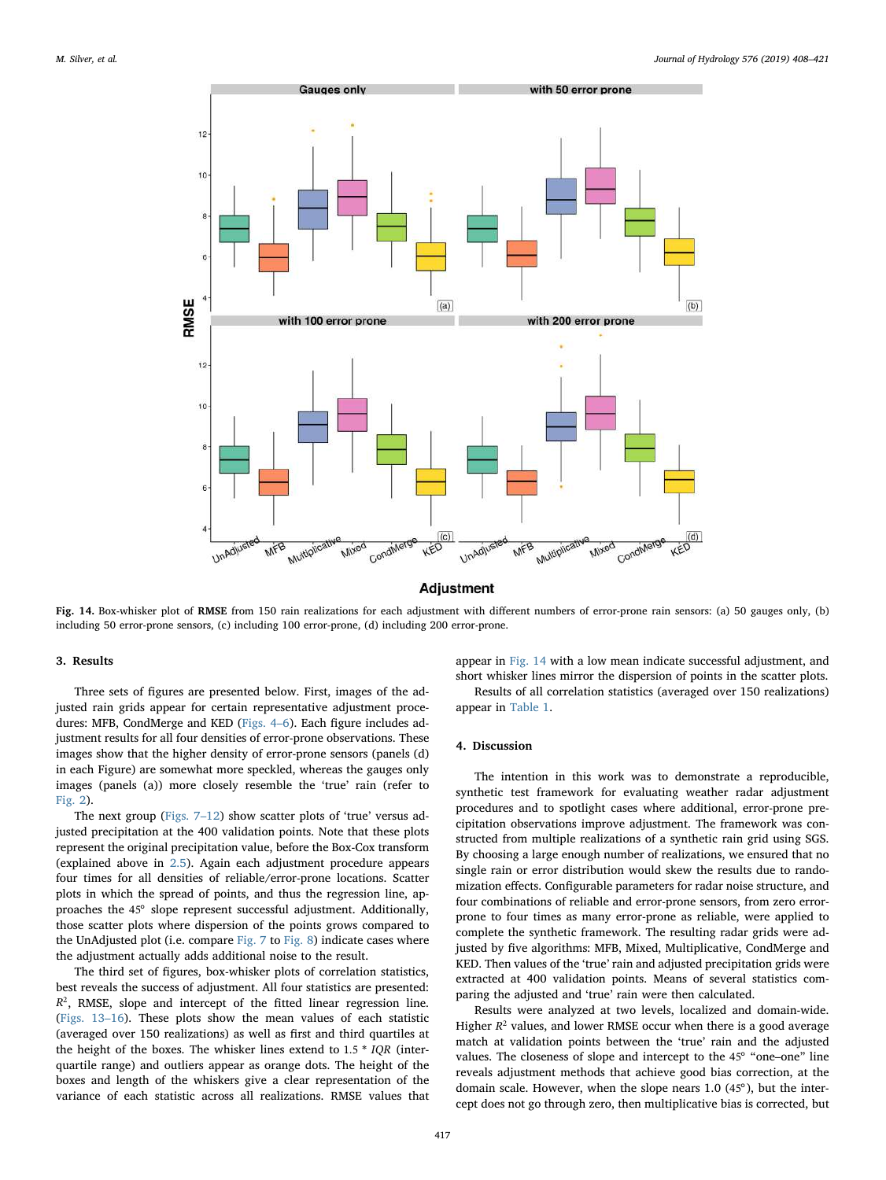<span id="page-9-0"></span>

Fig. 14. Box-whisker plot of RMSE from 150 rain realizations for each adjustment with different numbers of error-prone rain sensors: (a) 50 gauges only, (b) including 50 error-prone sensors, (c) including 100 error-prone, (d) including 200 error-prone.

#### 3. Results

Three sets of figures are presented below. First, images of the adjusted rain grids appear for certain representative adjustment procedures: MFB, CondMerge and KED ([Figs. 4](#page-4-1)–6). Each figure includes adjustment results for all four densities of error-prone observations. These images show that the higher density of error-prone sensors (panels (d) in each Figure) are somewhat more speckled, whereas the gauges only images (panels (a)) more closely resemble the 'true' rain (refer to [Fig. 2\)](#page-2-2).

The next group [\(Figs. 7](#page-6-1)–12) show scatter plots of 'true' versus adjusted precipitation at the 400 validation points. Note that these plots represent the original precipitation value, before the Box-Cox transform (explained above in [2.5](#page-8-0)). Again each adjustment procedure appears four times for all densities of reliable/error-prone locations. Scatter plots in which the spread of points, and thus the regression line, approaches the 45° slope represent successful adjustment. Additionally, those scatter plots where dispersion of the points grows compared to the UnAdjusted plot (i.e. compare [Fig. 7](#page-6-1) to [Fig. 8\)](#page-6-2) indicate cases where the adjustment actually adds additional noise to the result.

The third set of figures, box-whisker plots of correlation statistics, best reveals the success of adjustment. All four statistics are presented:  $R<sup>2</sup>$ , RMSE, slope and intercept of the fitted linear regression line. ([Figs. 13](#page-8-2)–16). These plots show the mean values of each statistic (averaged over 150 realizations) as well as first and third quartiles at the height of the boxes. The whisker lines extend to 1.5 \* *IQR* (interquartile range) and outliers appear as orange dots. The height of the boxes and length of the whiskers give a clear representation of the variance of each statistic across all realizations. RMSE values that

appear in [Fig. 14](#page-9-0) with a low mean indicate successful adjustment, and short whisker lines mirror the dispersion of points in the scatter plots. Results of all correlation statistics (averaged over 150 realizations) appear in [Table 1.](#page-4-0)

#### 4. Discussion

The intention in this work was to demonstrate a reproducible, synthetic test framework for evaluating weather radar adjustment procedures and to spotlight cases where additional, error-prone precipitation observations improve adjustment. The framework was constructed from multiple realizations of a synthetic rain grid using SGS. By choosing a large enough number of realizations, we ensured that no single rain or error distribution would skew the results due to randomization effects. Configurable parameters for radar noise structure, and four combinations of reliable and error-prone sensors, from zero errorprone to four times as many error-prone as reliable, were applied to complete the synthetic framework. The resulting radar grids were adjusted by five algorithms: MFB, Mixed, Multiplicative, CondMerge and KED. Then values of the 'true' rain and adjusted precipitation grids were extracted at 400 validation points. Means of several statistics comparing the adjusted and 'true' rain were then calculated.

Results were analyzed at two levels, localized and domain-wide. Higher  $R^2$  values, and lower RMSE occur when there is a good average match at validation points between the 'true' rain and the adjusted values. The closeness of slope and intercept to the 45° "one–one" line reveals adjustment methods that achieve good bias correction, at the domain scale. However, when the slope nears 1.0 (45°), but the intercept does not go through zero, then multiplicative bias is corrected, but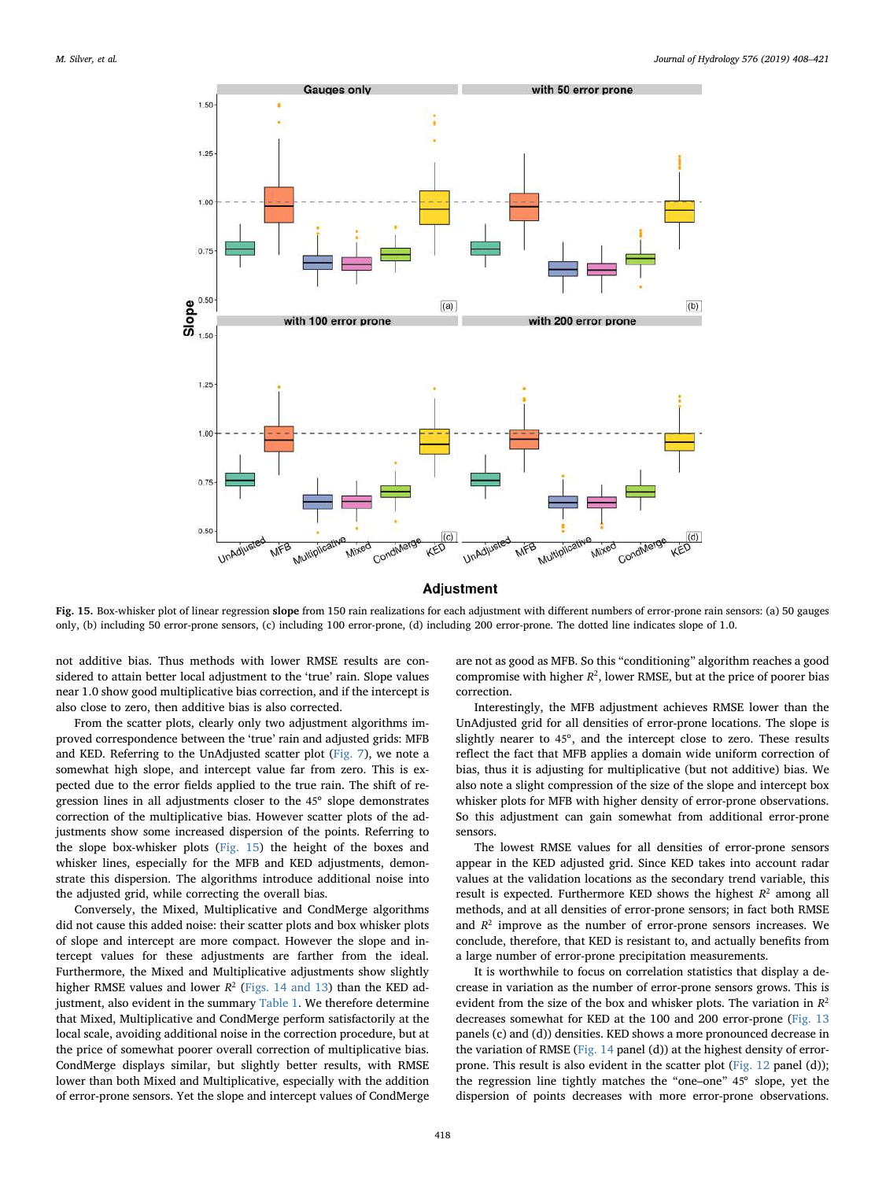<span id="page-10-0"></span>

Fig. 15. Box-whisker plot of linear regression slope from 150 rain realizations for each adjustment with different numbers of error-prone rain sensors: (a) 50 gauges only, (b) including 50 error-prone sensors, (c) including 100 error-prone, (d) including 200 error-prone. The dotted line indicates slope of 1.0.

not additive bias. Thus methods with lower RMSE results are considered to attain better local adjustment to the 'true' rain. Slope values near 1.0 show good multiplicative bias correction, and if the intercept is also close to zero, then additive bias is also corrected.

From the scatter plots, clearly only two adjustment algorithms improved correspondence between the 'true' rain and adjusted grids: MFB and KED. Referring to the UnAdjusted scatter plot [\(Fig. 7\)](#page-6-1), we note a somewhat high slope, and intercept value far from zero. This is expected due to the error fields applied to the true rain. The shift of regression lines in all adjustments closer to the 45° slope demonstrates correction of the multiplicative bias. However scatter plots of the adjustments show some increased dispersion of the points. Referring to the slope box-whisker plots ([Fig. 15](#page-10-0)) the height of the boxes and whisker lines, especially for the MFB and KED adjustments, demonstrate this dispersion. The algorithms introduce additional noise into the adjusted grid, while correcting the overall bias.

Conversely, the Mixed, Multiplicative and CondMerge algorithms did not cause this added noise: their scatter plots and box whisker plots of slope and intercept are more compact. However the slope and intercept values for these adjustments are farther from the ideal. Furthermore, the Mixed and Multiplicative adjustments show slightly higher RMSE values and lower  $R^2$  ([Figs. 14 and 13\)](#page-9-0) than the KED ad-justment, also evident in the summary [Table 1.](#page-4-0) We therefore determine that Mixed, Multiplicative and CondMerge perform satisfactorily at the local scale, avoiding additional noise in the correction procedure, but at the price of somewhat poorer overall correction of multiplicative bias. CondMerge displays similar, but slightly better results, with RMSE lower than both Mixed and Multiplicative, especially with the addition of error-prone sensors. Yet the slope and intercept values of CondMerge

are not as good as MFB. So this "conditioning" algorithm reaches a good compromise with higher  $R^2$ , lower RMSE, but at the price of poorer bias correction.

Interestingly, the MFB adjustment achieves RMSE lower than the UnAdjusted grid for all densities of error-prone locations. The slope is slightly nearer to 45°, and the intercept close to zero. These results reflect the fact that MFB applies a domain wide uniform correction of bias, thus it is adjusting for multiplicative (but not additive) bias. We also note a slight compression of the size of the slope and intercept box whisker plots for MFB with higher density of error-prone observations. So this adjustment can gain somewhat from additional error-prone sensors.

The lowest RMSE values for all densities of error-prone sensors appear in the KED adjusted grid. Since KED takes into account radar values at the validation locations as the secondary trend variable, this result is expected. Furthermore KED shows the highest  $R^2$  among all methods, and at all densities of error-prone sensors; in fact both RMSE and  $R<sup>2</sup>$  improve as the number of error-prone sensors increases. We conclude, therefore, that KED is resistant to, and actually benefits from a large number of error-prone precipitation measurements.

It is worthwhile to focus on correlation statistics that display a decrease in variation as the number of error-prone sensors grows. This is evident from the size of the box and whisker plots. The variation in *R*<sup>2</sup> decreases somewhat for KED at the 100 and 200 error-prone ([Fig. 13](#page-8-2) panels (c) and (d)) densities. KED shows a more pronounced decrease in the variation of RMSE ([Fig. 14](#page-9-0) panel (d)) at the highest density of errorprone. This result is also evident in the scatter plot ([Fig. 12](#page-7-1) panel (d)); the regression line tightly matches the "one–one" 45° slope, yet the dispersion of points decreases with more error-prone observations.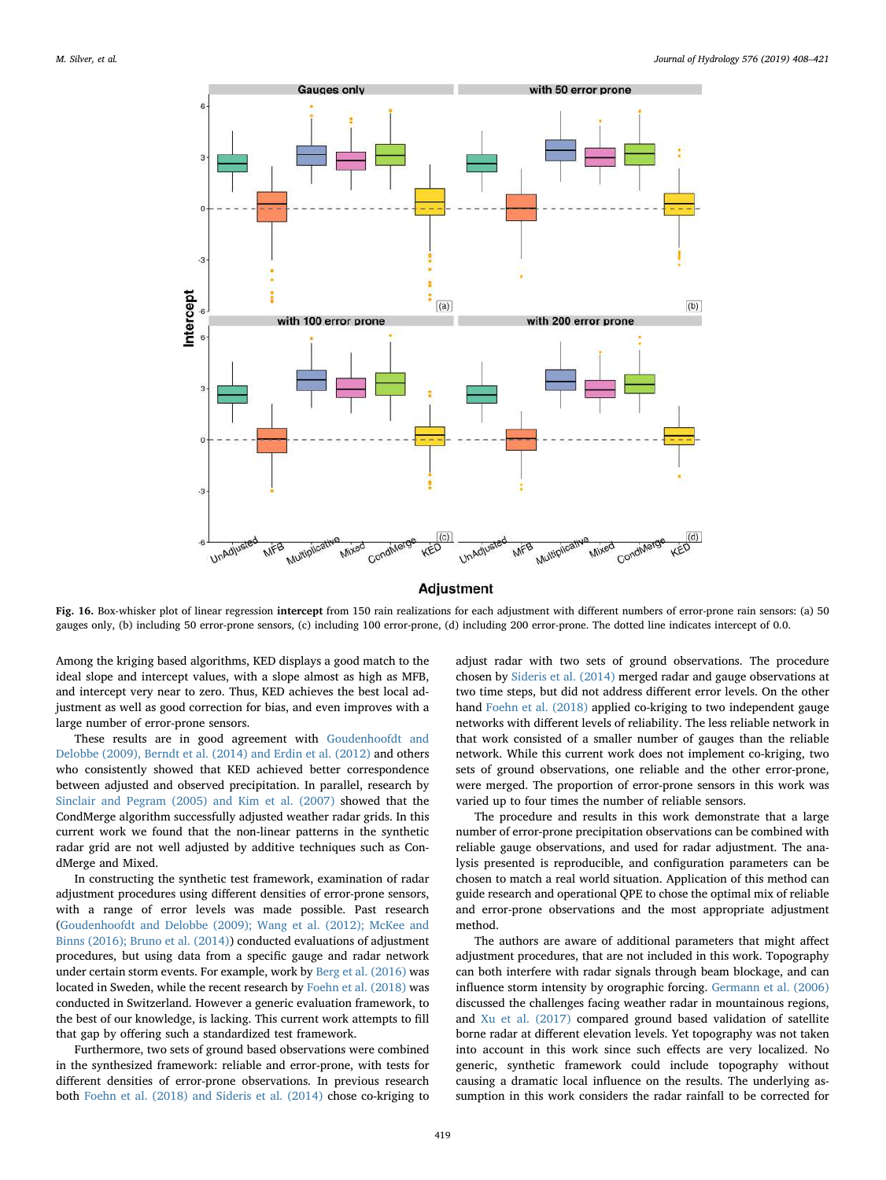

**Adjustment** 

Fig. 16. Box-whisker plot of linear regression intercept from 150 rain realizations for each adjustment with different numbers of error-prone rain sensors: (a) 50 gauges only, (b) including 50 error-prone sensors, (c) including 100 error-prone, (d) including 200 error-prone. The dotted line indicates intercept of 0.0.

Among the kriging based algorithms, KED displays a good match to the ideal slope and intercept values, with a slope almost as high as MFB, and intercept very near to zero. Thus, KED achieves the best local adjustment as well as good correction for bias, and even improves with a large number of error-prone sensors.

These results are in good agreement with [Goudenhoofdt and](#page-12-5) [Delobbe \(2009\), Berndt et al. \(2014\) and Erdin et al. \(2012\)](#page-12-5) and others who consistently showed that KED achieved better correspondence between adjusted and observed precipitation. In parallel, research by [Sinclair and Pegram \(2005\) and Kim et al. \(2007\)](#page-13-30) showed that the CondMerge algorithm successfully adjusted weather radar grids. In this current work we found that the non-linear patterns in the synthetic radar grid are not well adjusted by additive techniques such as CondMerge and Mixed.

In constructing the synthetic test framework, examination of radar adjustment procedures using different densities of error-prone sensors, with a range of error levels was made possible. Past research ([Goudenhoofdt and Delobbe \(2009\); Wang et al. \(2012\); McKee and](#page-12-5) [Binns \(2016\); Bruno et al. \(2014\)](#page-12-5)) conducted evaluations of adjustment procedures, but using data from a specific gauge and radar network under certain storm events. For example, work by [Berg et al. \(2016\)](#page-12-21) was located in Sweden, while the recent research by [Foehn et al. \(2018\)](#page-12-1) was conducted in Switzerland. However a generic evaluation framework, to the best of our knowledge, is lacking. This current work attempts to fill that gap by offering such a standardized test framework.

Furthermore, two sets of ground based observations were combined in the synthesized framework: reliable and error-prone, with tests for different densities of error-prone observations. In previous research both [Foehn et al. \(2018\) and Sideris et al. \(2014\)](#page-12-1) chose co-kriging to adjust radar with two sets of ground observations. The procedure chosen by [Sideris et al. \(2014\)](#page-13-4) merged radar and gauge observations at two time steps, but did not address different error levels. On the other hand [Foehn et al. \(2018\)](#page-12-1) applied co-kriging to two independent gauge networks with different levels of reliability. The less reliable network in that work consisted of a smaller number of gauges than the reliable network. While this current work does not implement co-kriging, two sets of ground observations, one reliable and the other error-prone, were merged. The proportion of error-prone sensors in this work was varied up to four times the number of reliable sensors.

The procedure and results in this work demonstrate that a large number of error-prone precipitation observations can be combined with reliable gauge observations, and used for radar adjustment. The analysis presented is reproducible, and configuration parameters can be chosen to match a real world situation. Application of this method can guide research and operational QPE to chose the optimal mix of reliable and error-prone observations and the most appropriate adjustment method.

The authors are aware of additional parameters that might affect adjustment procedures, that are not included in this work. Topography can both interfere with radar signals through beam blockage, and can influence storm intensity by orographic forcing. [Germann et al. \(2006\)](#page-12-22) discussed the challenges facing weather radar in mountainous regions, and [Xu et al. \(2017\)](#page-13-36) compared ground based validation of satellite borne radar at different elevation levels. Yet topography was not taken into account in this work since such effects are very localized. No generic, synthetic framework could include topography without causing a dramatic local influence on the results. The underlying assumption in this work considers the radar rainfall to be corrected for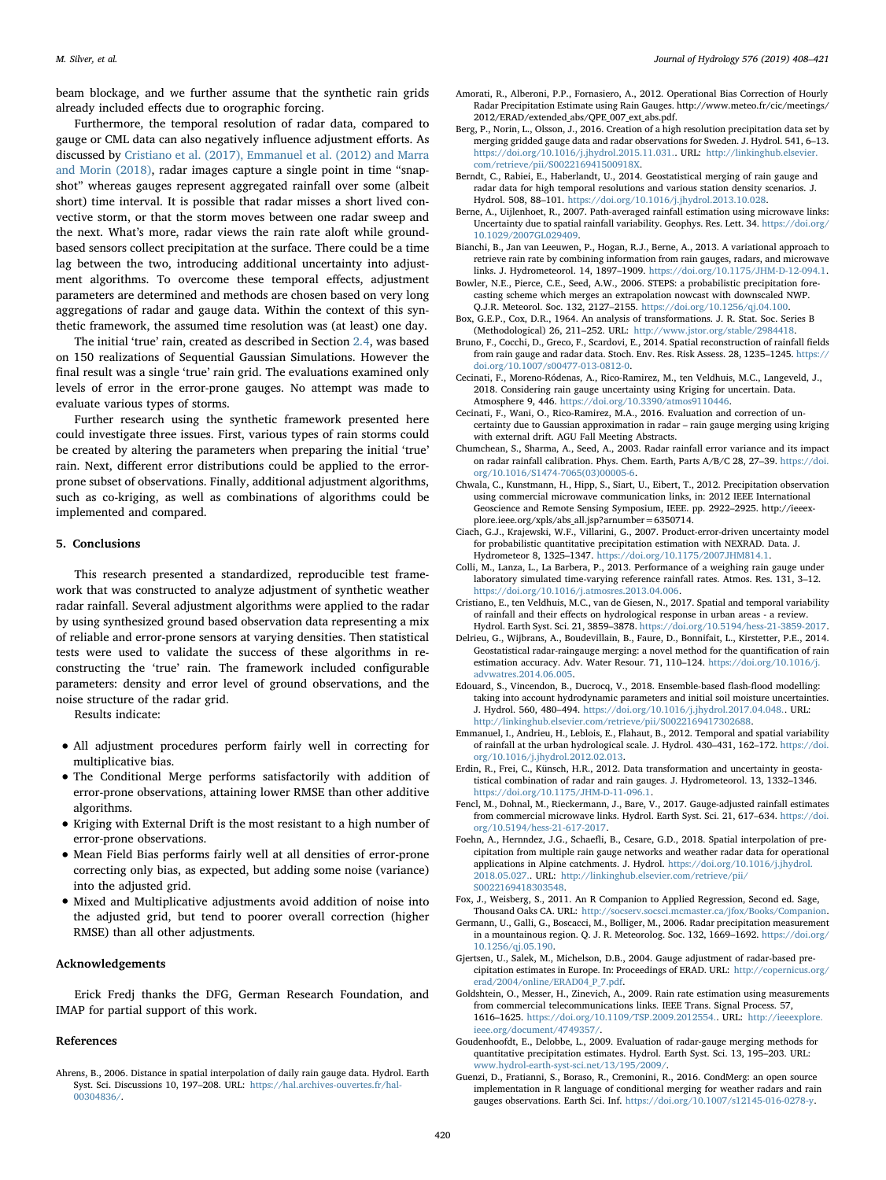beam blockage, and we further assume that the synthetic rain grids already included effects due to orographic forcing.

Furthermore, the temporal resolution of radar data, compared to gauge or CML data can also negatively influence adjustment efforts. As discussed by [Cristiano et al. \(2017\), Emmanuel et al. \(2012\) and Marra](#page-12-23) [and Morin \(2018\),](#page-12-23) radar images capture a single point in time "snapshot" whereas gauges represent aggregated rainfall over some (albeit short) time interval. It is possible that radar misses a short lived convective storm, or that the storm moves between one radar sweep and the next. What's more, radar views the rain rate aloft while groundbased sensors collect precipitation at the surface. There could be a time lag between the two, introducing additional uncertainty into adjustment algorithms. To overcome these temporal effects, adjustment parameters are determined and methods are chosen based on very long aggregations of radar and gauge data. Within the context of this synthetic framework, the assumed time resolution was (at least) one day.

The initial 'true' rain, created as described in Section [2.4,](#page-7-2) was based on 150 realizations of Sequential Gaussian Simulations. However the final result was a single 'true' rain grid. The evaluations examined only levels of error in the error-prone gauges. No attempt was made to evaluate various types of storms.

Further research using the synthetic framework presented here could investigate three issues. First, various types of rain storms could be created by altering the parameters when preparing the initial 'true' rain. Next, different error distributions could be applied to the errorprone subset of observations. Finally, additional adjustment algorithms, such as co-kriging, as well as combinations of algorithms could be implemented and compared.

#### 5. Conclusions

This research presented a standardized, reproducible test framework that was constructed to analyze adjustment of synthetic weather radar rainfall. Several adjustment algorithms were applied to the radar by using synthesized ground based observation data representing a mix of reliable and error-prone sensors at varying densities. Then statistical tests were used to validate the success of these algorithms in reconstructing the 'true' rain. The framework included configurable parameters: density and error level of ground observations, and the noise structure of the radar grid.

Results indicate:

- All adjustment procedures perform fairly well in correcting for multiplicative bias.
- The Conditional Merge performs satisfactorily with addition of error-prone observations, attaining lower RMSE than other additive algorithms.
- Kriging with External Drift is the most resistant to a high number of error-prone observations.
- Mean Field Bias performs fairly well at all densities of error-prone correcting only bias, as expected, but adding some noise (variance) into the adjusted grid.
- Mixed and Multiplicative adjustments avoid addition of noise into the adjusted grid, but tend to poorer overall correction (higher RMSE) than all other adjustments.

#### Acknowledgements

Erick Fredj thanks the DFG, German Research Foundation, and IMAP for partial support of this work.

#### References

<span id="page-12-12"></span>Ahrens, B., 2006. Distance in spatial interpolation of daily rain gauge data. Hydrol. Earth Syst. Sci. Discussions 10, 197–208. URL: [https://hal.archives-ouvertes.fr/hal-](https://hal.archives-ouvertes.fr/hal-00304836/)[00304836/](https://hal.archives-ouvertes.fr/hal-00304836/).

- <span id="page-12-2"></span>Amorati, R., Alberoni, P.P., Fornasiero, A., 2012. Operational Bias Correction of Hourly Radar Precipitation Estimate using Rain Gauges. http://www.meteo.fr/cic/meetings/ 2012/ERAD/extended\_abs/QPE\_007\_ext\_abs.pdf.
- <span id="page-12-21"></span>Berg, P., Norin, L., Olsson, J., 2016. Creation of a high resolution precipitation data set by merging gridded gauge data and radar observations for Sweden. J. Hydrol. 541, 6–13. [https://doi.org/10.1016/j.jhydrol.2015.11.031.. URL:](https://doi.org/10.1016/j.jhydrol.2015.11.031) http://linkinghub.elsevier. [com/retrieve/pii/S002216941500918X](http://linkinghub.elsevier.com/retrieve/pii/S002216941500918X).
- <span id="page-12-15"></span>Berndt, C., Rabiei, E., Haberlandt, U., 2014. Geostatistical merging of rain gauge and radar data for high temporal resolutions and various station density scenarios. J. Hydrol. 508, 88–101. <https://doi.org/10.1016/j.jhydrol.2013.10.028>.
- <span id="page-12-4"></span>Berne, A., Uijlenhoet, R., 2007. Path-averaged rainfall estimation using microwave links: Uncertainty due to spatial rainfall variability. Geophys. Res. Lett. 34. [https://doi.org/](https://doi.org/10.1029/2007GL029409) [10.1029/2007GL029409.](https://doi.org/10.1029/2007GL029409)
- <span id="page-12-3"></span>Bianchi, B., Jan van Leeuwen, P., Hogan, R.J., Berne, A., 2013. A variational approach to retrieve rain rate by combining information from rain gauges, radars, and microwave links. J. Hydrometeorol. 14, 1897–1909. [https://doi.org/10.1175/JHM-D-12-094.1.](https://doi.org/10.1175/JHM-D-12-094.1)
- <span id="page-12-10"></span>Bowler, N.E., Pierce, C.E., Seed, A.W., 2006. STEPS: a probabilistic precipitation forecasting scheme which merges an extrapolation nowcast with downscaled NWP. Q.J.R. Meteorol. Soc. 132, 2127–2155. <https://doi.org/10.1256/qj.04.100>.
- <span id="page-12-18"></span>Box, G.E.P., Cox, D.R., 1964. An analysis of transformations. J. R. Stat. Soc. Series B (Methodological) 26, 211–252. URL: <http://www.jstor.org/stable/2984418>.
- Bruno, F., Cocchi, D., Greco, F., Scardovi, E., 2014. Spatial reconstruction of rainfall fields from rain gauge and radar data. Stoch. Env. Res. Risk Assess. 28, 1235–1245. [https://](https://doi.org/10.1007/s00477-013-0812-0) [doi.org/10.1007/s00477-013-0812-0.](https://doi.org/10.1007/s00477-013-0812-0)
- <span id="page-12-17"></span>Cecinati, F., Moreno-Ródenas, A., Rico-Ramirez, M., ten Veldhuis, M.C., Langeveld, J., 2018. Considering rain gauge uncertainty using Kriging for uncertain. Data. Atmosphere 9, 446. <https://doi.org/10.3390/atmos9110446>.
- Cecinati, F., Wani, O., Rico-Ramirez, M.A., 2016. Evaluation and correction of uncertainty due to Gaussian approximation in radar – rain gauge merging using kriging with external drift. AGU Fall Meeting Abstracts.
- <span id="page-12-9"></span>Chumchean, S., Sharma, A., Seed, A., 2003. Radar rainfall error variance and its impact on radar rainfall calibration. Phys. Chem. Earth, Parts A/B/C 28, 27–39. [https://doi.](https://doi.org/10.1016/S1474-7065(03)00005-6) [org/10.1016/S1474-7065\(03\)00005-6](https://doi.org/10.1016/S1474-7065(03)00005-6).
- <span id="page-12-14"></span>Chwala, C., Kunstmann, H., Hipp, S., Siart, U., Eibert, T., 2012. Precipitation observation using commercial microwave communication links, in: 2012 IEEE International Geoscience and Remote Sensing Symposium, IEEE. pp. 2922–2925. http://ieeexplore.ieee.org/xpls/abs\_all.jsp?arnumber=6350714.
- <span id="page-12-8"></span>Ciach, G.J., Krajewski, W.F., Villarini, G., 2007. Product-error-driven uncertainty model for probabilistic quantitative precipitation estimation with NEXRAD. Data. J. Hydrometeor 8, 1325–1347. <https://doi.org/10.1175/2007JHM814.1>.
- <span id="page-12-11"></span>Colli, M., Lanza, L., La Barbera, P., 2013. Performance of a weighing rain gauge under laboratory simulated time-varying reference rainfall rates. Atmos. Res. 131, 3–12. [https://doi.org/10.1016/j.atmosres.2013.04.006.](https://doi.org/10.1016/j.atmosres.2013.04.006)
- <span id="page-12-23"></span>Cristiano, E., ten Veldhuis, M.C., van de Giesen, N., 2017. Spatial and temporal variability of rainfall and their effects on hydrological response in urban areas - a review. Hydrol. Earth Syst. Sci. 21, 3859–3878. [https://doi.org/10.5194/hess-21-3859-2017.](https://doi.org/10.5194/hess-21-3859-2017)
- <span id="page-12-16"></span>Delrieu, G., Wijbrans, A., Boudevillain, B., Faure, D., Bonnifait, L., Kirstetter, P.E., 2014. Geostatistical radar-raingauge merging: a novel method for the quantification of rain estimation accuracy. Adv. Water Resour. 71, 110–124. [https://doi.org/10.1016/j.](https://doi.org/10.1016/j.advwatres.2014.06.005) [advwatres.2014.06.005](https://doi.org/10.1016/j.advwatres.2014.06.005).
- <span id="page-12-6"></span>Edouard, S., Vincendon, B., Ducrocq, V., 2018. Ensemble-based flash-flood modelling: taking into account hydrodynamic parameters and initial soil moisture uncertainties. J. Hydrol. 560, 480–494. [https://doi.org/10.1016/j.jhydrol.2017.04.048.. URL:](https://doi.org/10.1016/j.jhydrol.2017.04.048) <http://linkinghub.elsevier.com/retrieve/pii/S0022169417302688>.
- Emmanuel, I., Andrieu, H., Leblois, E., Flahaut, B., 2012. Temporal and spatial variability of rainfall at the urban hydrological scale. J. Hydrol. 430–431, 162–172. [https://doi.](https://doi.org/10.1016/j.jhydrol.2012.02.013) [org/10.1016/j.jhydrol.2012.02.013](https://doi.org/10.1016/j.jhydrol.2012.02.013).
- <span id="page-12-19"></span>Erdin, R., Frei, C., Künsch, H.R., 2012. Data transformation and uncertainty in geostatistical combination of radar and rain gauges. J. Hydrometeorol. 13, 1332–1346. [https://doi.org/10.1175/JHM-D-11-096.1.](https://doi.org/10.1175/JHM-D-11-096.1)
- <span id="page-12-13"></span>Fencl, M., Dohnal, M., Rieckermann, J., Bare, V., 2017. Gauge-adjusted rainfall estimates from commercial microwave links. Hydrol. Earth Syst. Sci. 21, 617–634. [https://doi.](https://doi.org/10.5194/hess-21-617-2017) [org/10.5194/hess-21-617-2017.](https://doi.org/10.5194/hess-21-617-2017)
- <span id="page-12-1"></span>Foehn, A., Hernndez, J.G., Schaefli, B., Cesare, G.D., 2018. Spatial interpolation of precipitation from multiple rain gauge networks and weather radar data for operational applications in Alpine catchments. J. Hydrol. [https://doi.org/10.1016/j.jhydrol.](https://doi.org/10.1016/j.jhydrol.2018.05.027) 2018.05.027.. URL: [http://linkinghub.elsevier.com/retrieve/pii/](https://doi.org/10.1016/j.jhydrol.2018.05.027) [S0022169418303548](http://linkinghub.elsevier.com/retrieve/pii/S0022169418303548).
- <span id="page-12-20"></span>Fox, J., Weisberg, S., 2011. An R Companion to Applied Regression, Second ed. Sage, Thousand Oaks CA. URL: [http://socserv.socsci.mcmaster.ca/jfox/Books/Companion.](http://socserv.socsci.mcmaster.ca/jfox/Books/Companion)
- <span id="page-12-22"></span>Germann, U., Galli, G., Boscacci, M., Bolliger, M., 2006. Radar precipitation measurement in a mountainous region. Q. J. R. Meteorolog. Soc. 132, 1669–1692. [https://doi.org/](https://doi.org/10.1256/qj.05.190) [10.1256/qj.05.190.](https://doi.org/10.1256/qj.05.190)
- <span id="page-12-0"></span>Gjertsen, U., Salek, M., Michelson, D.B., 2004. Gauge adjustment of radar-based precipitation estimates in Europe. In: Proceedings of ERAD. URL: [http://copernicus.org/](http://copernicus.org/erad/2004/online/ERAD04_P_7.pdf) [erad/2004/online/ERAD04\\_P\\_7.pdf.](http://copernicus.org/erad/2004/online/ERAD04_P_7.pdf)
- Goldshtein, O., Messer, H., Zinevich, A., 2009. Rain rate estimation using measurements from commercial telecommunications links. IEEE Trans. Signal Process. 57, 1616–1625. [https://doi.org/10.1109/TSP.2009.2012554.. URL:](https://doi.org/10.1109/TSP.2009.2012554) http://ieeexplore. [ieee.org/document/4749357/](http://ieeexplore.ieee.org/document/4749357/).
- <span id="page-12-5"></span>Goudenhoofdt, E., Delobbe, L., 2009. Evaluation of radar-gauge merging methods for quantitative precipitation estimates. Hydrol. Earth Syst. Sci. 13, 195–203. URL: [www.hydrol-earth-syst-sci.net/13/195/2009/](http://www.hydrol-earth-syst-sci.net/13/195/2009/).
- <span id="page-12-7"></span>Guenzi, D., Fratianni, S., Boraso, R., Cremonini, R., 2016. CondMerg: an open source implementation in R language of conditional merging for weather radars and rain gauges observations. Earth Sci. Inf. <https://doi.org/10.1007/s12145-016-0278-y>.